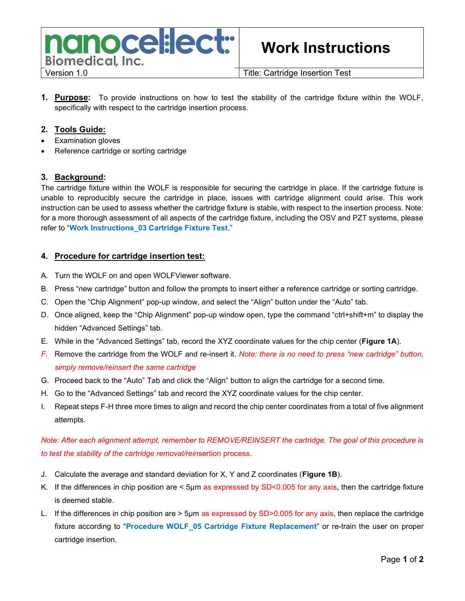

# Work Instructions

**1. Purpose:** To provide instructions on how to test the stability of the cartridge fixture within the WOLF, specifically with respect to the cartridge insertion process.

#### 2. Tools Guide:

- Examination gloves
- Reference cartridge or sorting cartridge

#### 3. Background:

The cartridge fixture within the WOLF is responsible for securing the cartridge in place. If the cartridge fixture is unable to reproducibly secure the cartridge in place, issues with cartridge alignment could arise. This work instruction can be used to assess whether the cartridge fixture is stable, with respect to the insertion process. Note: for a more thorough assessment of all aspects of the cartridge fixture, including the OSV and PZT systems, please refer to "Work Instructions\_03 Cartridge Fixture Test."

#### 4. Procedure for cartridge insertion test:

- A. Turn the WOLF on and open WOLFViewer software.
- B. Press "new cartridge" button and follow the prompts to insert either a reference cartridge or sorting cartridge.
- C. Open the "Chip Alignment" pop-up window, and select the "Align" button under the "Auto" tab.
- D. Once aligned, keep the "Chip Alignment" pop-up window open, type the command "ctrl+shift+m" to display the hidden "Advanced Settings" tab.
- E. While in the "Advanced Settings" tab, record the XYZ coordinate values for the chip center (Figure 1A).
- F. Remove the cartridge from the WOLF and re-insert it. Note: there is no need to press "new cartridge" button, simply remove/reinsert the same cartridge
- G. Proceed back to the "Auto" Tab and click the "Align" button to align the cartridge for a second time.
- H. Go to the "Advanced Settings" tab and record the XYZ coordinate values for the chip center.
- I. Repeat steps F-H three more times to align and record the chip center coordinates from a total of five alignment attempts.

## Note: After each alignment attempt, remember to REMOVE/REINSERT the cartridge. The goal of this procedure is to test the stability of the cartridge removal/reinsertion process.

- J. Calculate the average and standard deviation for  $X$ ,  $Y$  and  $Z$  coordinates (**Figure 1B**).
- K. If the differences in chip position are < 5µm as expressed by SD<0.005 for any axis, then the cartridge fixture is deemed stable.
- L. If the differences in chip position are > 5µm as expressed by SD>0.005 for any axis, then replace the cartridge fixture according to "Procedure WOLF 05 Cartridge Fixture Replacement" or re-train the user on proper cartridge insertion.